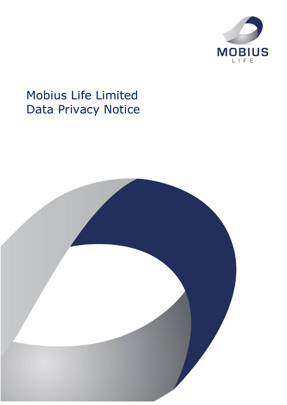

# Mobius Life Limited Data Privacy Notice

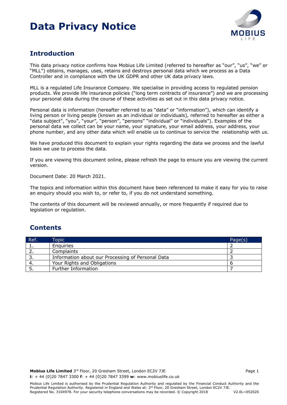

### **Introduction**

This data privacy notice confirms how Mobius Life Limited (referred to hereafter as "our", "us", "we" or "MLL") obtains, manages, uses, retains and destroys personal data which we process as a Data Controller and in compliance with the UK GDPR and other UK data privacy laws.

MLL is a regulated Life Insurance Company. We specialise in providing access to regulated pension products. We provide life insurance policies ("long term contracts of insurance") and we are processing your personal data during the course of these activities as set out in this data privacy notice.

Personal data is information (hereafter referred to as "data" or "information"), which can identify a living person or living people (known as an individual or individuals), referred to hereafter as either a "data subject", "you", "your", "person", "persons" "individual" or "individuals"). Examples of the personal data we collect can be your name, your signature, your email address, your address, your phone number, and any other data which will enable us to continue to service the relationship with us.

We have produced this document to explain your rights regarding the data we process and the lawful basis we use to process the data.

If you are viewing this document online, please refresh the page to ensure you are viewing the current version.

Document Date: 20 March 2021.

The topics and information within this document have been referenced to make it easy for you to raise an enquiry should you wish to, or refer to, if you do not understand something.

The contents of this document will be reviewed annually, or more frequently if required due to legislation or regulation.

### **Contents**

| Ref. | Topic                                             | Page(s) |
|------|---------------------------------------------------|---------|
|      | Enguiries                                         |         |
|      | Complaints                                        |         |
| . .  | Information about our Processing of Personal Data |         |
|      | Your Rights and Obligations                       |         |
|      | Further Information                               |         |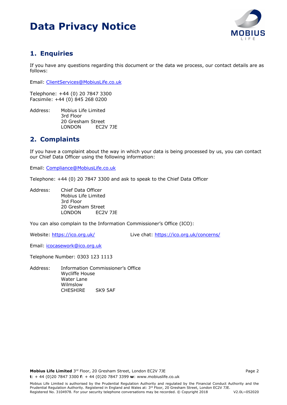

### **1. Enquiries**

If you have any questions regarding this document or the data we process, our contact details are as follows:

Email: ClientServices@MobiusLife.co.uk

Telephone: +44 (0) 20 7847 3300 Facsimile: +44 (0) 845 268 0200

Address: Mobius Life Limited 3rd Floor 20 Gresham Street LONDON EC2V 7JE

### **2. Complaints**

If you have a complaint about the way in which your data is being processed by us, you can contact our Chief Data Officer using the following information:

Email: Compliance@MobiusLife.co.uk

Telephone: +44 (0) 20 7847 3300 and ask to speak to the Chief Data Officer

Address: Chief Data Officer Mobius Life Limited 3rd Floor 20 Gresham Street LONDON EC2V 7JE

You can also complain to the Information Commissioner's Office (ICO):

Website: https://ico.org.uk/ Live chat: https://ico.org.uk/concerns/

Email: icocasework@ico.org.uk

Telephone Number: 0303 123 1113

Address: Information Commissioner's Office Wycliffe House Water Lane Wilmslow CHESHIRE SK9 5AF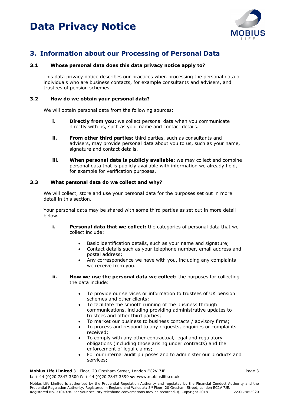

### **3. Information about our Processing of Personal Data**

#### **3.1 Whose personal data does this data privacy notice apply to?**

This data privacy notice describes our practices when processing the personal data of individuals who are business contacts, for example consultants and advisers, and trustees of pension schemes.

#### **3.2 How do we obtain your personal data?**

We will obtain personal data from the following sources:

- **i. Directly from you:** we collect personal data when you communicate directly with us, such as your name and contact details.
- **ii. From other third parties:** third parties, such as consultants and advisers, may provide personal data about you to us, such as your name, signature and contact details.
- **iii.** When personal data is publicly available: we may collect and combine personal data that is publicly available with information we already hold, for example for verification purposes.

#### **3.3 What personal data do we collect and why?**

We will collect, store and use your personal data for the purposes set out in more detail in this section.

Your personal data may be shared with some third parties as set out in more detail below.

- **i. Personal data that we collect:** the categories of personal data that we collect include:
	- Basic identification details, such as your name and signature;
	- Contact details such as your telephone number, email address and postal address;
	- Any correspondence we have with you, including any complaints we receive from you.
- **ii. How we use the personal data we collect:** the purposes for collecting the data include:
	- To provide our services or information to trustees of UK pension schemes and other clients;
	- To facilitate the smooth running of the business through communications, including providing administrative updates to trustees and other third parties;
	- To market our business to business contacts / advisory firms;
	- To process and respond to any requests, enquiries or complaints received;
	- To comply with any other contractual, legal and regulatory obligations (including those arising under contracts) and the enforcement of legal claims;
	- For our internal audit purposes and to administer our products and services;

**Mobius Life Limited** 3<sup>rd</sup> Floor, 20 Gresham Street, London EC2V 7JE **Page 3** Page 3 **t**: + 44 (0)20 7847 3300 **f**: + 44 (0)20 7847 3399 **w**: www.mobiuslife.co.uk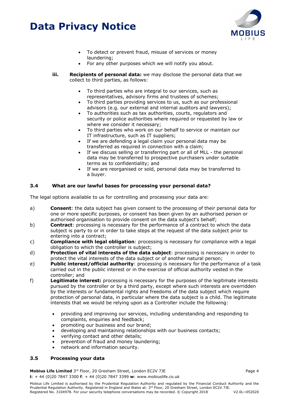

- To detect or prevent fraud, misuse of services or money laundering;
- For any other purposes which we will notify you about.
- **iii. Recipients of personal data:** we may disclose the personal data that we collect to third parties, as follows:
	- To third parties who are integral to our services, such as representatives, advisory firms and trustees of schemes;
	- To third parties providing services to us, such as our professional advisors (e.g. our external and internal auditors and lawyers);
	- To authorities such as tax authorities, courts, regulators and security or police authorities where required or requested by law or where we consider it necessary;
	- To third parties who work on our behalf to service or maintain our IT infrastructure, such as IT suppliers;
	- If we are defending a legal claim your personal data may be transferred as required in connection with a claim;
	- If we discuss selling or transferring part or all of MLL the personal data may be transferred to prospective purchasers under suitable terms as to confidentiality; and
	- If we are reorganised or sold, personal data may be transferred to a buyer.

#### **3.4 What are our lawful bases for processing your personal data?**

The legal options available to us for controlling and processing your data are:

- a) **Consent**: the data subject has given consent to the processing of their personal data for one or more specific purposes, or consent has been given by an authorised person or authorised organisation to provide consent on the data subject's behalf;
- b) **Contract**: processing is necessary for the performance of a contract to which the data subject is party to or in order to take steps at the request of the data subject prior to entering into a contract;
- c) **Compliance with legal obligation**: processing is necessary for compliance with a legal obligation to which the controller is subject;
- d) **Protection of vital interests of the data subject**: processing is necessary in order to protect the vital interests of the data subject or of another natural person;
- e) **Public interest/official authority**: processing is necessary for the performance of a task carried out in the public interest or in the exercise of official authority vested in the controller; and
- f) **Legitimate interest:** processing is necessary for the purposes of the legitimate interests pursued by the controller or by a third party, except where such interests are overridden by the interests or fundamental rights and freedoms of the data subject which require protection of personal data, in particular where the data subject is a child. The legitimate interests that we would be relying upon as a Controller include the following:
	- providing and improving our services, including understanding and responding to complaints, enquiries and feedback;
	- promoting our business and our brand;
	- developing and maintaining relationships with our business contacts;
	- verifying contact and other details;
	- prevention of fraud and money laundering;
	- network and information security.

#### **3.5 Processing your data**

**Mobius Life Limited** 3<sup>rd</sup> Floor, 20 Gresham Street, London EC2V 7JE **Page 4** Page 4 **t**: + 44 (0)20 7847 3300 **f**: + 44 (0)20 7847 3399 **w**: www.mobiuslife.co.uk

Mobius Life Limited is authorised by the Prudential Regulation Authority and regulated by the Financial Conduct Authority and the Prudential Regulation Authority. Registered in England and Wales at: 3<sup>rd</sup> Floor, 20 Gresham Street, London EC2V 7JE. Registered No. 3104978. For your security telephone conversations may be recorded. © Copyright 2018 V2.0L~052020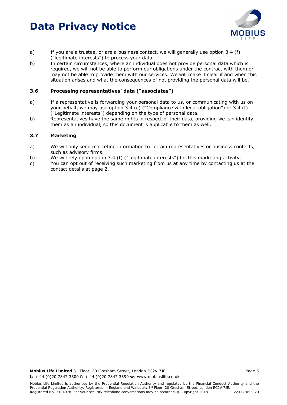

- a) If you are a trustee, or are a business contact, we will generally use option 3.4 (f) ("legitimate interests") to process your data.
- b) In certain circumstances, where an individual does not provide personal data which is required, we will not be able to perform our obligations under the contract with them or may not be able to provide them with our services. We will make it clear if and when this situation arises and what the consequences of not providing the personal data will be.

#### **3.6 Processing representatives' data ("associates")**

- a) If a representative is forwarding your personal data to us, or communicating with us on your behalf, we may use option 3.4 (c) ("Compliance with legal obligation") or 3.4 (f) ("Legitimate interests") depending on the type of personal data.
- b) Representatives have the same rights in respect of their data, providing we can identify them as an individual, so this document is applicable to them as well.

#### **3.7 Marketing**

- a) We will only send marketing information to certain representatives or business contacts, such as advisory firms.
- b) We will rely upon option 3.4 (f) ("Legitimate interests") for this marketing activity.
- c) You can opt out of receiving such marketing from us at any time by contacting us at the contact details at page 2.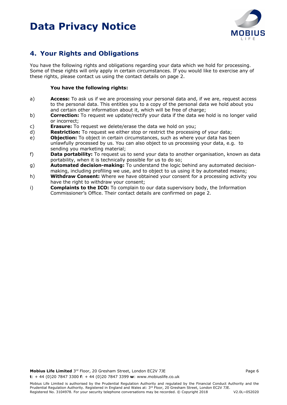

### **4. Your Rights and Obligations**

You have the following rights and obligations regarding your data which we hold for processing. Some of these rights will only apply in certain circumstances. If you would like to exercise any of these rights, please contact us using the contact details on page 2.

#### **You have the following rights:**

- a) **Access:** To ask us if we are processing your personal data and, if we are, request access to the personal data. This entitles you to a copy of the personal data we hold about you and certain other information about it, which will be free of charge;
- b) **Correction:** To request we update/rectify your data if the data we hold is no longer valid or incorrect;
- c) **Erasure:** To request we delete/erase the data we hold on you;
- d) **Restriction:** To request we either stop or restrict the processing of your data;
- e) **Objection:** To object in certain circumstances, such as where your data has been unlawfully processed by us. You can also object to us processing your data, e.g. to sending you marketing material;
- f) **Data portability:** To request us to send your data to another organisation, known as data portability, when it is technically possible for us to do so;
- g) **Automated decision-making:** To understand the logic behind any automated decision-
- making, including profiling we use, and to object to us using it by automated means;
- h) **Withdraw Consent:** Where we have obtained your consent for a processing activity you have the right to withdraw your consent;
- i) **Complaints to the ICO:** To complain to our data supervisory body, the Information Commissioner's Office. Their contact details are confirmed on page 2.